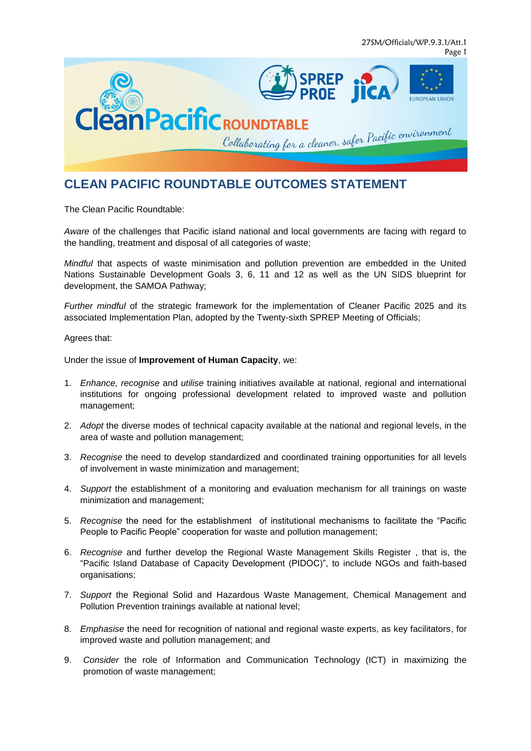

# **CLEAN PACIFIC ROUNDTABLE OUTCOMES STATEMENT**

The Clean Pacific Roundtable:

*Aware* of the challenges that Pacific island national and local governments are facing with regard to the handling, treatment and disposal of all categories of waste;

*Mindful* that aspects of waste minimisation and pollution prevention are embedded in the United Nations Sustainable Development Goals 3, 6, 11 and 12 as well as the UN SIDS blueprint for development, the SAMOA Pathway;

*Further mindful* of the strategic framework for the implementation of Cleaner Pacific 2025 and its associated Implementation Plan, adopted by the Twenty-sixth SPREP Meeting of Officials;

Agrees that:

Under the issue of **Improvement of Human Capacity**, we:

- 1. *Enhance, recognise* and *utilise* training initiatives available at national, regional and international institutions for ongoing professional development related to improved waste and pollution management;
- 2. *Adopt* the diverse modes of technical capacity available at the national and regional levels, in the area of waste and pollution management;
- 3. *Recognise* the need to develop standardized and coordinated training opportunities for all levels of involvement in waste minimization and management;
- 4. *Support* the establishment of a monitoring and evaluation mechanism for all trainings on waste minimization and management;
- 5. *Recognise* the need for the establishment of institutional mechanisms to facilitate the "Pacific People to Pacific People" cooperation for waste and pollution management;
- 6. *Recognise* and further develop the Regional Waste Management Skills Register , that is, the "Pacific Island Database of Capacity Development (PIDOC)", to include NGOs and faith-based organisations;
- 7. *Support* the Regional Solid and Hazardous Waste Management, Chemical Management and Pollution Prevention trainings available at national level;
- 8. *Emphasise* the need for recognition of national and regional waste experts, as key facilitators, for improved waste and pollution management; and
- 9. *Consider* the role of Information and Communication Technology (ICT) in maximizing the promotion of waste management;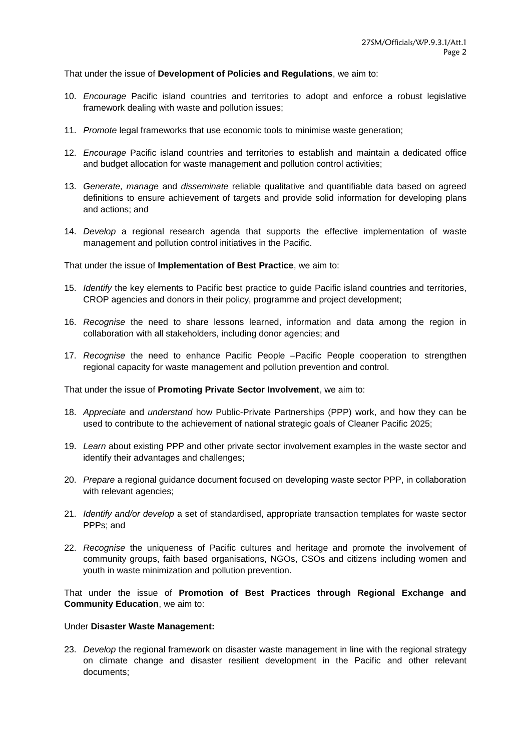That under the issue of **Development of Policies and Regulations**, we aim to:

- 10. *Encourage* Pacific island countries and territories to adopt and enforce a robust legislative framework dealing with waste and pollution issues;
- 11. *Promote* legal frameworks that use economic tools to minimise waste generation;
- 12. *Encourage* Pacific island countries and territories to establish and maintain a dedicated office and budget allocation for waste management and pollution control activities;
- 13. *Generate, manage* and *disseminate* reliable qualitative and quantifiable data based on agreed definitions to ensure achievement of targets and provide solid information for developing plans and actions; and
- 14. *Develop* a regional research agenda that supports the effective implementation of waste management and pollution control initiatives in the Pacific.

That under the issue of **Implementation of Best Practice**, we aim to:

- 15. *Identify* the key elements to Pacific best practice to guide Pacific island countries and territories, CROP agencies and donors in their policy, programme and project development;
- 16. *Recognise* the need to share lessons learned, information and data among the region in collaboration with all stakeholders, including donor agencies; and
- 17. *Recognise* the need to enhance Pacific People –Pacific People cooperation to strengthen regional capacity for waste management and pollution prevention and control.

That under the issue of **Promoting Private Sector Involvement**, we aim to:

- 18. *Appreciate* and *understand* how Public-Private Partnerships (PPP) work, and how they can be used to contribute to the achievement of national strategic goals of Cleaner Pacific 2025;
- 19. *Learn* about existing PPP and other private sector involvement examples in the waste sector and identify their advantages and challenges;
- 20. *Prepare* a regional guidance document focused on developing waste sector PPP, in collaboration with relevant agencies;
- 21. *Identify and/or develop* a set of standardised, appropriate transaction templates for waste sector PPPs; and
- 22. *Recognise* the uniqueness of Pacific cultures and heritage and promote the involvement of community groups, faith based organisations, NGOs, CSOs and citizens including women and youth in waste minimization and pollution prevention.

That under the issue of **Promotion of Best Practices through Regional Exchange and Community Education**, we aim to:

#### Under **Disaster Waste Management:**

23. *Develop* the regional framework on disaster waste management in line with the regional strategy on climate change and disaster resilient development in the Pacific and other relevant documents;